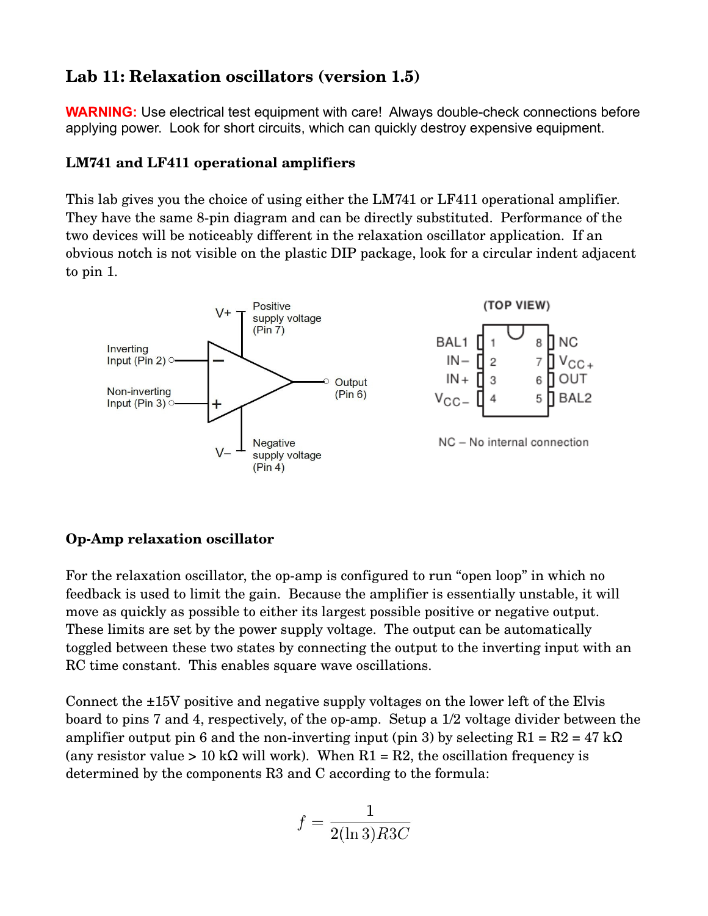# **Lab 11: Relaxation oscillators (version 1.5)**

**WARNING:** Use electrical test equipment with care! Always double-check connections before applying power. Look for short circuits, which can quickly destroy expensive equipment.

### **LM741 and LF411 operational amplifiers**

This lab gives you the choice of using either the LM741 or LF411 operational amplifier. They have the same 8-pin diagram and can be directly substituted. Performance of the two devices will be noticeably different in the relaxation oscillator application. If an obvious notch is not visible on the plastic DIP package, look for a circular indent adjacent to pin 1.



## **OpAmp relaxation oscillator**

For the relaxation oscillator, the op-amp is configured to run "open loop" in which no feedback is used to limit the gain. Because the amplifier is essentially unstable, it will move as quickly as possible to either its largest possible positive or negative output. These limits are set by the power supply voltage. The output can be automatically toggled between these two states by connecting the output to the inverting input with an RC time constant. This enables square wave oscillations.

Connect the ±15V positive and negative supply voltages on the lower left of the Elvis board to pins 7 and 4, respectively, of the op-amp. Setup a 1/2 voltage divider between the amplifier output pin 6 and the non-inverting input (pin 3) by selecting  $R1 = R2 = 47$  k $\Omega$ (any resistor value > 10 k $\Omega$  will work). When R1 = R2, the oscillation frequency is determined by the components R3 and C according to the formula:

$$
f = \frac{1}{2(\ln 3)R3C}
$$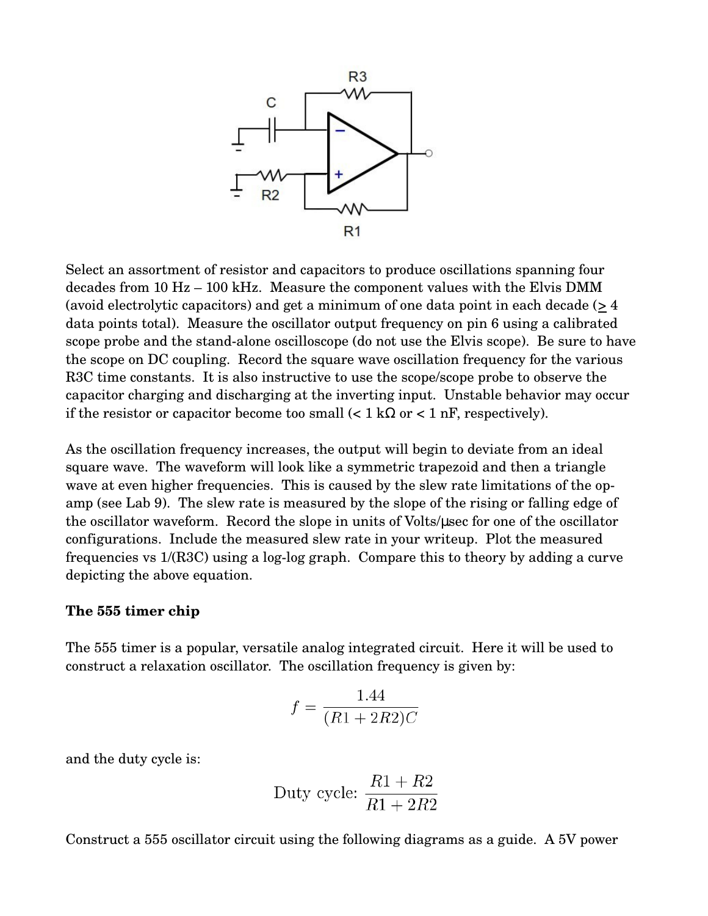

Select an assortment of resistor and capacitors to produce oscillations spanning four decades from 10 Hz – 100 kHz. Measure the component values with the Elvis DMM (avoid electrolytic capacitors) and get a minimum of one data point in each decade (> 4 data points total). Measure the oscillator output frequency on pin 6 using a calibrated scope probe and the stand-alone oscilloscope (do not use the Elvis scope). Be sure to have the scope on DC coupling. Record the square wave oscillation frequency for the various R3C time constants. It is also instructive to use the scope/scope probe to observe the capacitor charging and discharging at the inverting input. Unstable behavior may occur if the resistor or capacitor become too small  $\langle 1 \text{ k}\Omega \text{ or } 1 \text{ nF}$ , respectively).

As the oscillation frequency increases, the output will begin to deviate from an ideal square wave. The waveform will look like a symmetric trapezoid and then a triangle wave at even higher frequencies. This is caused by the slew rate limitations of the opamp (see Lab 9). The slew rate is measured by the slope of the rising or falling edge of the oscillator waveform. Record the slope in units of Volts/µsec for one of the oscillator configurations. Include the measured slew rate in your writeup. Plot the measured frequencies vs  $1/(R3C)$  using a log-log graph. Compare this to theory by adding a curve depicting the above equation.

#### **The 555 timer chip**

The 555 timer is a popular, versatile analog integrated circuit. Here it will be used to construct a relaxation oscillator. The oscillation frequency is given by:

$$
f = \frac{1.44}{(R1 + 2R2)C}
$$

and the duty cycle is:

Duty cycle: 
$$
\frac{R1 + R2}{R1 + 2R2}
$$

Construct a 555 oscillator circuit using the following diagrams as a guide. A 5V power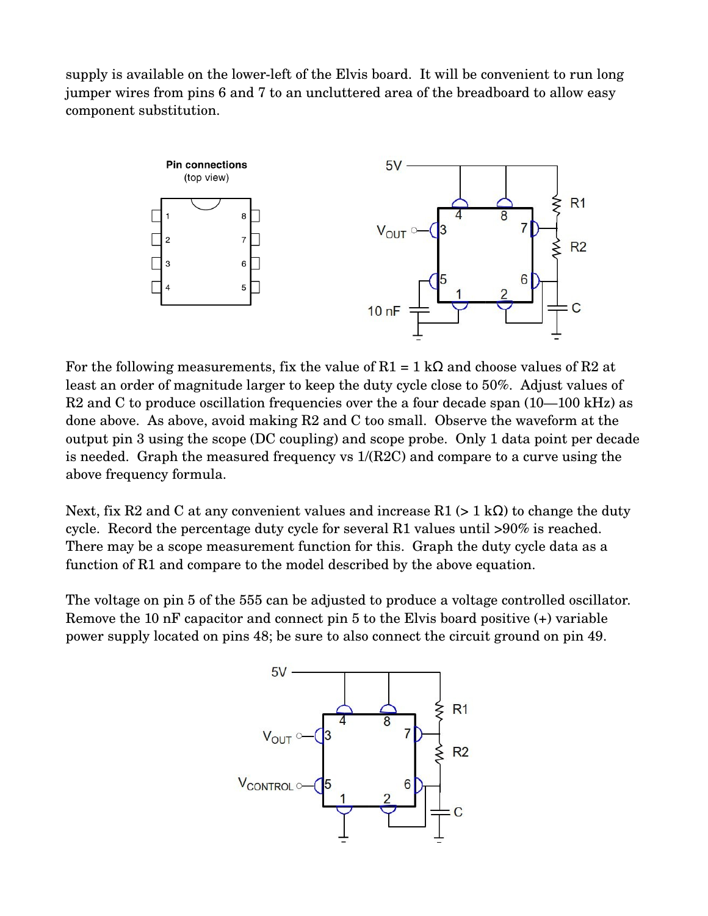supply is available on the lower-left of the Elvis board. It will be convenient to run long jumper wires from pins 6 and 7 to an uncluttered area of the breadboard to allow easy component substitution.



For the following measurements, fix the value of  $R1 = 1$  k $\Omega$  and choose values of R2 at least an order of magnitude larger to keep the duty cycle close to 50%. Adjust values of  $R2$  and C to produce oscillation frequencies over the a four decade span  $(10-100 \text{ kHz})$  as done above. As above, avoid making R2 and C too small. Observe the waveform at the output pin 3 using the scope (DC coupling) and scope probe. Only 1 data point per decade is needed. Graph the measured frequency vs 1/(R2C) and compare to a curve using the above frequency formula.

Next, fix R2 and C at any convenient values and increase R1 (> 1 k $\Omega$ ) to change the duty cycle. Record the percentage duty cycle for several R1 values until >90% is reached. There may be a scope measurement function for this. Graph the duty cycle data as a function of R1 and compare to the model described by the above equation.

The voltage on pin 5 of the 555 can be adjusted to produce a voltage controlled oscillator. Remove the 10 nF capacitor and connect pin 5 to the Elvis board positive (+) variable power supply located on pins 48; be sure to also connect the circuit ground on pin 49.